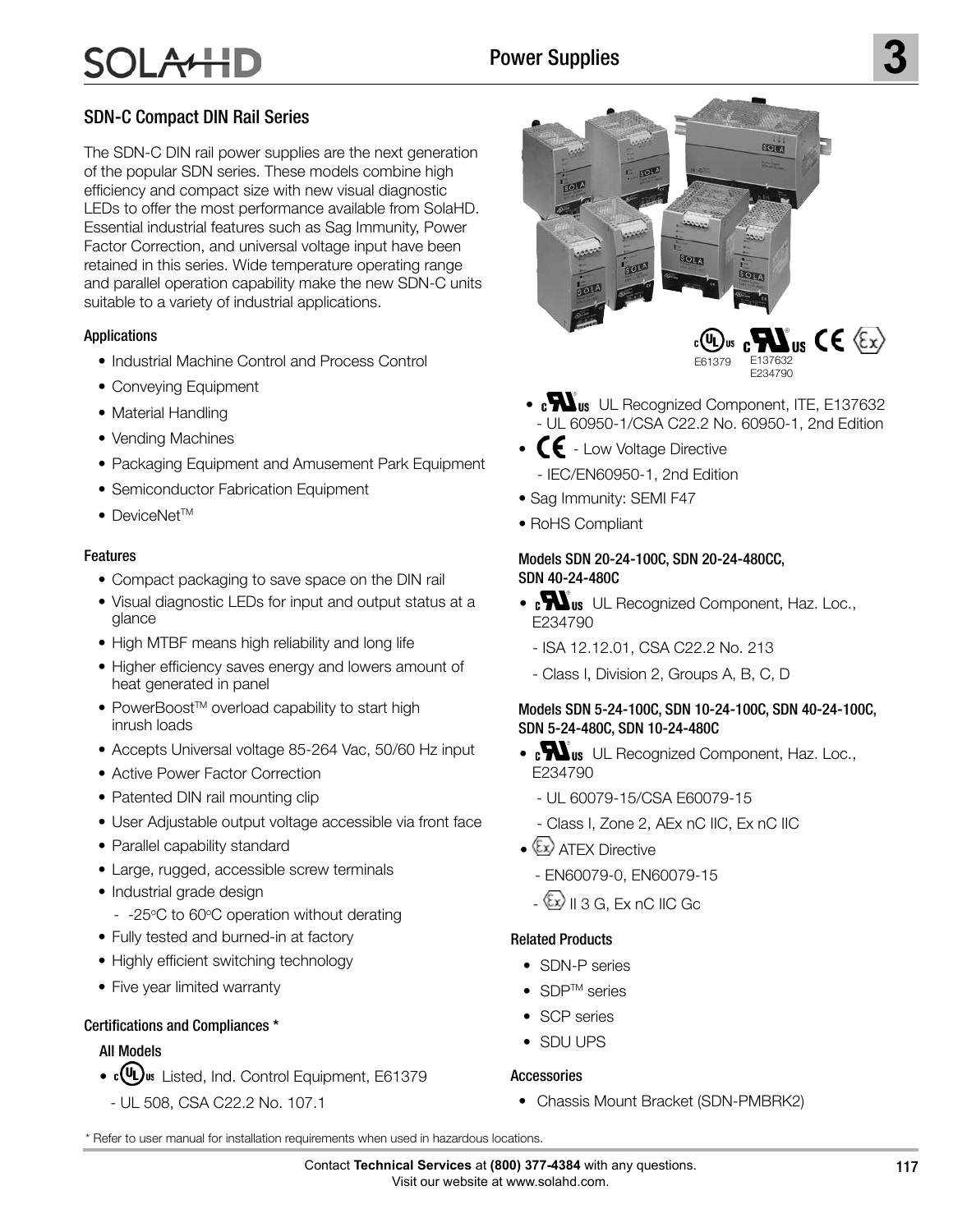# $A$

### SDN-C Compact DIN Rail Series

The SDN-C DIN rail power supplies are the next generation of the popular SDN series. These models combine high efficiency and compact size with new visual diagnostic LEDs to offer the most performance available from SolaHD. Essential industrial features such as Sag Immunity, Power Factor Correction, and universal voltage input have been retained in this series. Wide temperature operating range and parallel operation capability make the new SDN-C units suitable to a variety of industrial applications.

#### Applications

- Industrial Machine Control and Process Control
- Conveying Equipment
- Material Handling
- Vending Machines
- Packaging Equipment and Amusement Park Equipment
- Semiconductor Fabrication Equipment
- DeviceNet<sup>TM</sup>

#### Features

- Compact packaging to save space on the DIN rail
- Visual diagnostic LEDs for input and output status at a glance
- High MTBF means high reliability and long life
- Higher efficiency saves energy and lowers amount of heat generated in panel
- PowerBoost<sup>™</sup> overload capability to start high inrush loads
- Accepts Universal voltage 85-264 Vac, 50/60 Hz input
- Active Power Factor Correction
- Patented DIN rail mounting clip
- User Adjustable output voltage accessible via front face
- Parallel capability standard
- Large, rugged, accessible screw terminals
- Industrial grade design
- -25°C to 60°C operation without derating
- Fully tested and burned-in at factory
- Highly efficient switching technology
- Five year limited warranty

#### Certifications and Compliances \*

#### All Models

- **(U)** s Listed, Ind. Control Equipment, E61379
- **UL 508 Listed IND. CONT. EQ.** UL 508, CSA C22.2 No. 107.1



- **COM I We** UL Recognized Component, ITE, E137632 **UL 60950 E137632** - UL 60950-1/CSA C22.2 No. 60950-1, 2nd Edition
- **CE** Low Voltage Directive
	- IEC/EN60950-1, 2nd Edition
- Sag Immunity: SEMI F47
- RoHS Compliant

#### Models SDN 20-24-100C, SDN 20-24-480CC, SDN 40-24-480C

- c**ondity** UL Recognized Component, Haz. Loc., E234790
	- **No. 234-M90** ISA 12.12.01, CSA C22.2 No. 213
	- Class I, Division 2, Groups A, B, C, D

#### Models SDN 5-24-100C, SDN 10-24-100C, SDN 40-24-100C, SDN 5-24-480C, SDN 10-24-480C

- c**ondity** UL Recognized Component, Haz. Loc., E234790
- **No. 234-M90** - UL 60079-15/CSA E60079-15
	- Class I, Zone 2, AEx nC IIC, Ex nC IIC
- $\bullet$   $\&$  ATEX Directive
	- EN60079-0, EN60079-15
	- $-\langle x \rangle$  II 3 G, Ex nC IIC Gc

#### Related Products

- SDN-P series
- SDP<sup>TM</sup> series
- SCP series
- SDU UPS

#### Accessories

• Chassis Mount Bracket (SDN-PMBRK2)

<sup>\*</sup> Refer to user manual for installation requirements when used in hazardous locations.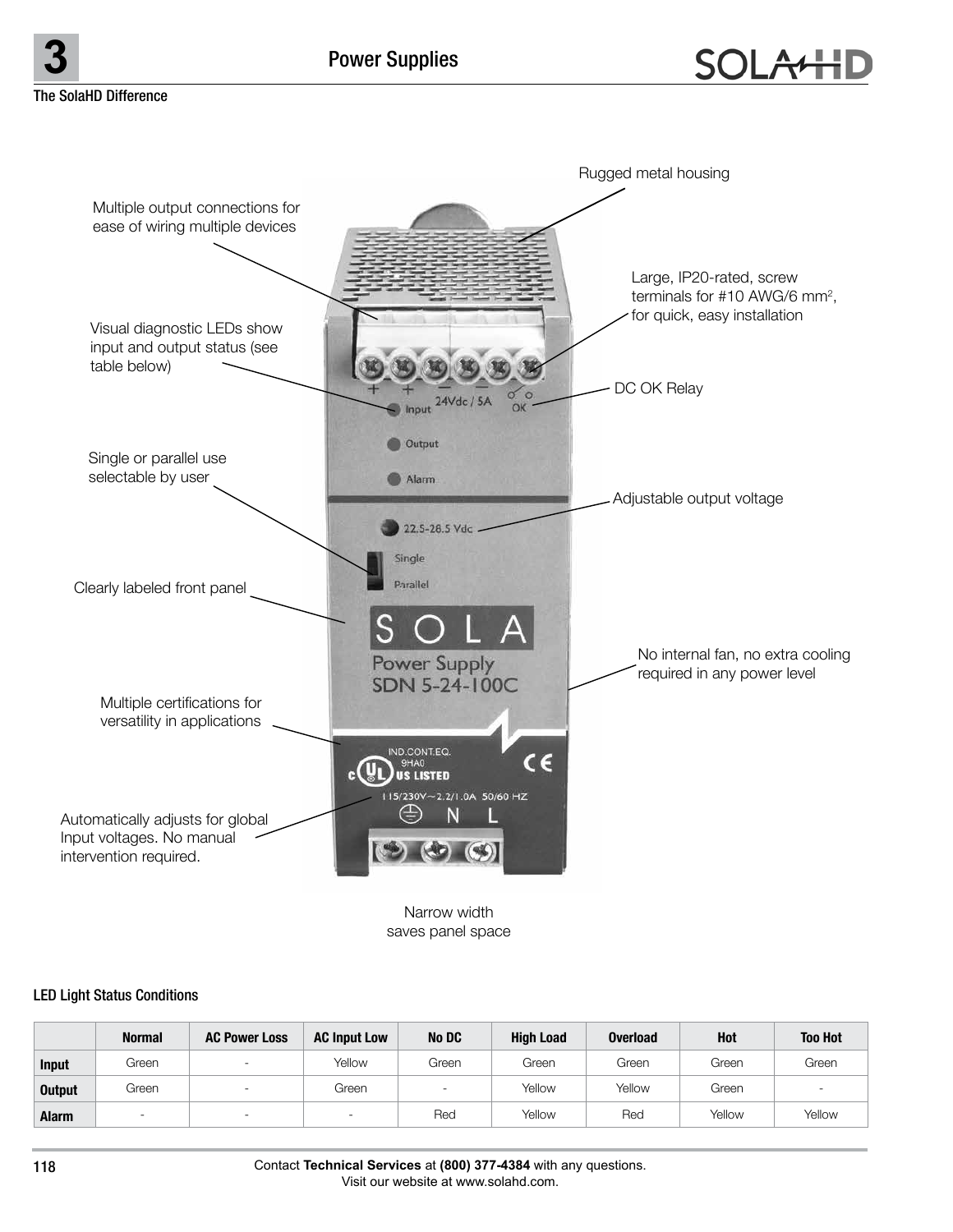**3** Power Supplies

The SolaHD Difference



Narrow width saves panel space

#### LED Light Status Conditions

|               | <b>Normal</b> | <b>AC Power Loss</b>     | <b>AC Input Low</b> | No DC                    | <b>High Load</b> | <b>Overload</b> | Hot    | <b>Too Hot</b>           |
|---------------|---------------|--------------------------|---------------------|--------------------------|------------------|-----------------|--------|--------------------------|
| <b>Input</b>  | Green         |                          | Yellow              | Green                    | Green            | Green           | Green  | Green                    |
| <b>Output</b> | Green         |                          | Green               | $\overline{\phantom{a}}$ | Yellow           | Yellow          | Green  | $\overline{\phantom{a}}$ |
| <b>Alarm</b>  |               | $\overline{\phantom{a}}$ |                     | Red                      | Yellow           | Red             | Yellow | Yellow                   |

Contact **Technical Services** at **(800) 377-4384** with any questions. Visit our website at www.solahd.com.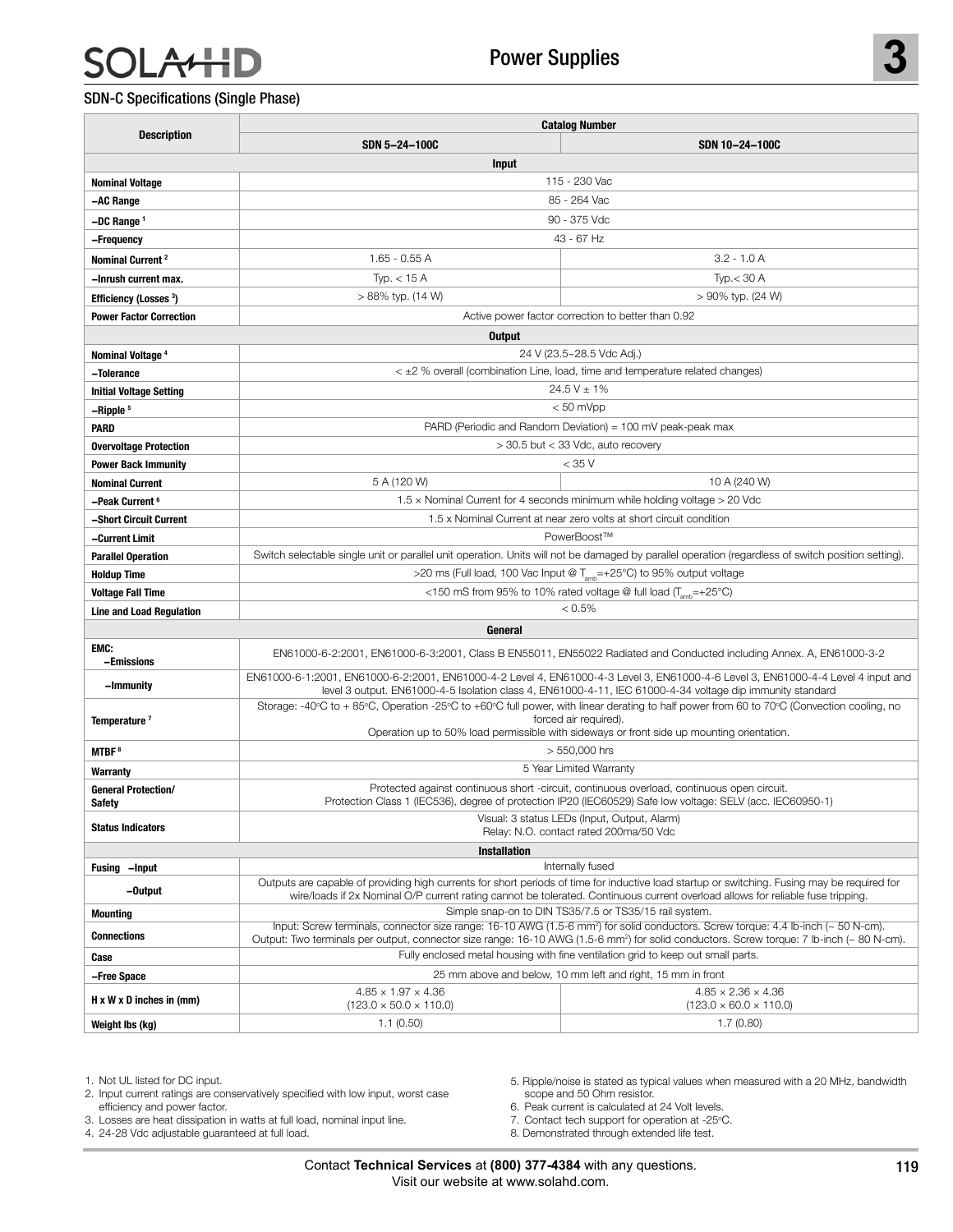# $\mathsf{H}$

#### SDN-C Specifications (Single Phase)

|                                                | <b>Catalog Number</b>                                                                                                                                                                                                                                                                                  |                                                                                                                     |  |  |  |  |
|------------------------------------------------|--------------------------------------------------------------------------------------------------------------------------------------------------------------------------------------------------------------------------------------------------------------------------------------------------------|---------------------------------------------------------------------------------------------------------------------|--|--|--|--|
| <b>Description</b>                             | SDN 5-24-100C                                                                                                                                                                                                                                                                                          | SDN 10-24-100C                                                                                                      |  |  |  |  |
| Input                                          |                                                                                                                                                                                                                                                                                                        |                                                                                                                     |  |  |  |  |
| <b>Nominal Voltage</b>                         | 115 - 230 Vac                                                                                                                                                                                                                                                                                          |                                                                                                                     |  |  |  |  |
| -AC Range                                      |                                                                                                                                                                                                                                                                                                        | 85 - 264 Vac                                                                                                        |  |  |  |  |
| $-DC$ Range $1$                                | 90 - 375 Vdc                                                                                                                                                                                                                                                                                           |                                                                                                                     |  |  |  |  |
| -Frequency                                     | 43 - 67 Hz                                                                                                                                                                                                                                                                                             |                                                                                                                     |  |  |  |  |
| Nominal Current <sup>2</sup>                   | $1.65 - 0.55 A$                                                                                                                                                                                                                                                                                        | $3.2 - 1.0 A$                                                                                                       |  |  |  |  |
| -Inrush current max.                           | Typ. $<$ 15 A                                                                                                                                                                                                                                                                                          | Type < 30 A                                                                                                         |  |  |  |  |
| <b>Efficiency (Losses 3)</b>                   | > 88% typ. (14 W)                                                                                                                                                                                                                                                                                      | > 90% typ. (24 W)                                                                                                   |  |  |  |  |
| <b>Power Factor Correction</b>                 |                                                                                                                                                                                                                                                                                                        | Active power factor correction to better than 0.92                                                                  |  |  |  |  |
|                                                | Output                                                                                                                                                                                                                                                                                                 |                                                                                                                     |  |  |  |  |
| Nominal Voltage <sup>4</sup>                   |                                                                                                                                                                                                                                                                                                        | 24 V (23.5~28.5 Vdc Adj.)                                                                                           |  |  |  |  |
| -Tolerance                                     |                                                                                                                                                                                                                                                                                                        | $\leq$ $\pm$ 2 % overall (combination Line, load, time and temperature related changes)                             |  |  |  |  |
| <b>Initial Voltage Setting</b>                 |                                                                                                                                                                                                                                                                                                        | $24.5 V \pm 1\%$                                                                                                    |  |  |  |  |
| -Ripple <sup>5</sup>                           |                                                                                                                                                                                                                                                                                                        | $< 50$ mVpp                                                                                                         |  |  |  |  |
| <b>PARD</b>                                    |                                                                                                                                                                                                                                                                                                        | PARD (Periodic and Random Deviation) = $100 \text{ mV}$ peak-peak max                                               |  |  |  |  |
| <b>Overvoltage Protection</b>                  |                                                                                                                                                                                                                                                                                                        | > 30.5 but < 33 Vdc, auto recovery                                                                                  |  |  |  |  |
| <b>Power Back Immunity</b>                     |                                                                                                                                                                                                                                                                                                        | $<$ 35 V                                                                                                            |  |  |  |  |
| <b>Nominal Current</b>                         | 5 A (120 W)                                                                                                                                                                                                                                                                                            | 10 A (240 W)                                                                                                        |  |  |  |  |
| -Peak Current <sup>6</sup>                     | $1.5 \times$ Nominal Current for 4 seconds minimum while holding voltage $>$ 20 Vdc                                                                                                                                                                                                                    |                                                                                                                     |  |  |  |  |
| –Short Circuit Current                         | 1.5 x Nominal Current at near zero volts at short circuit condition                                                                                                                                                                                                                                    |                                                                                                                     |  |  |  |  |
| -Current Limit                                 | PowerBoost™                                                                                                                                                                                                                                                                                            |                                                                                                                     |  |  |  |  |
| <b>Parallel Operation</b>                      | Switch selectable single unit or parallel unit operation. Units will not be damaged by parallel operation (regardless of switch position setting).                                                                                                                                                     |                                                                                                                     |  |  |  |  |
| <b>Holdup Time</b><br><b>Voltage Fall Time</b> | >20 ms (Full load, 100 Vac Input @ T <sub>amb</sub> =+25°C) to 95% output voltage<br><150 mS from 95% to 10% rated voltage @ full load ( $T_{amb}$ =+25°C)                                                                                                                                             |                                                                                                                     |  |  |  |  |
| <b>Line and Load Regulation</b>                |                                                                                                                                                                                                                                                                                                        | $< 0.5\%$                                                                                                           |  |  |  |  |
|                                                | General                                                                                                                                                                                                                                                                                                |                                                                                                                     |  |  |  |  |
| EMC:                                           |                                                                                                                                                                                                                                                                                                        |                                                                                                                     |  |  |  |  |
| -Emissions                                     |                                                                                                                                                                                                                                                                                                        | EN61000-6-2:2001, EN61000-6-3:2001, Class B EN55011, EN55022 Radiated and Conducted including Annex. A, EN61000-3-2 |  |  |  |  |
| –Immunity                                      | EN61000-6-1:2001, EN61000-6-2:2001, EN61000-4-2 Level 4, EN61000-4-3 Level 3, EN61000-4-6 Level 3, EN61000-4-4 Level 4 input and<br>level 3 output. EN61000-4-5 Isolation class 4, EN61000-4-11, IEC 61000-4-34 voltage dip immunity standard                                                          |                                                                                                                     |  |  |  |  |
| Temperature <sup>7</sup>                       | Storage: -40°C to + 85°C, Operation -25°C to +60°C full power, with linear derating to half power from 60 to 70°C (Convection cooling, no<br>forced air required).<br>Operation up to 50% load permissible with sideways or front side up mounting orientation.                                        |                                                                                                                     |  |  |  |  |
| MTBF <sup>8</sup>                              | > 550,000 hrs                                                                                                                                                                                                                                                                                          |                                                                                                                     |  |  |  |  |
| Warranty                                       | 5 Year Limited Warranty                                                                                                                                                                                                                                                                                |                                                                                                                     |  |  |  |  |
| <b>General Protection/</b><br>Safety           | Protected against continuous short -circuit, continuous overload, continuous open circuit.<br>Protection Class 1 (IEC536), degree of protection IP20 (IEC60529) Safe low voltage: SELV (acc. IEC60950-1)                                                                                               |                                                                                                                     |  |  |  |  |
| <b>Status Indicators</b>                       | Visual: 3 status LEDs (Input, Output, Alarm)<br>Relay: N.O. contact rated 200ma/50 Vdc                                                                                                                                                                                                                 |                                                                                                                     |  |  |  |  |
| <b>Installation</b>                            |                                                                                                                                                                                                                                                                                                        |                                                                                                                     |  |  |  |  |
| Fusing -Input                                  |                                                                                                                                                                                                                                                                                                        | Internally fused                                                                                                    |  |  |  |  |
| -Output                                        | Outputs are capable of providing high currents for short periods of time for inductive load startup or switching. Fusing may be required for<br>wire/loads if 2x Nominal O/P current rating cannot be tolerated. Continuous current overload allows for reliable fuse tripping.                        |                                                                                                                     |  |  |  |  |
| <b>Mounting</b>                                | Simple snap-on to DIN TS35/7.5 or TS35/15 rail system.                                                                                                                                                                                                                                                 |                                                                                                                     |  |  |  |  |
| <b>Connections</b>                             | Input: Screw terminals, connector size range: 16-10 AWG (1.5-6 mm <sup>2</sup> ) for solid conductors. Screw torque: 4.4 lb-inch (~ 50 N-cm).<br>Output: Two terminals per output, connector size range: 16-10 AWG (1.5-6 mm <sup>2</sup> ) for solid conductors. Screw torque: 7 lb-inch (~ 80 N-cm). |                                                                                                                     |  |  |  |  |
| Case                                           |                                                                                                                                                                                                                                                                                                        | Fully enclosed metal housing with fine ventilation grid to keep out small parts.                                    |  |  |  |  |
| -Free Space                                    |                                                                                                                                                                                                                                                                                                        | 25 mm above and below, 10 mm left and right, 15 mm in front                                                         |  |  |  |  |
| $H \times W \times D$ inches in (mm)           | $4.85 \times 1.97 \times 4.36$<br>$(123.0 \times 50.0 \times 110.0)$                                                                                                                                                                                                                                   | $4.85\times2.36\times4.36$<br>$(123.0 \times 60.0 \times 110.0)$                                                    |  |  |  |  |
| Weight Ibs (kg)                                | 1.1(0.50)                                                                                                                                                                                                                                                                                              | 1.7(0.80)                                                                                                           |  |  |  |  |

1. Not UL listed for DC input.

2. Input current ratings are conservatively specified with low input, worst case efficiency and power factor.

3. Losses are heat dissipation in watts at full load, nominal input line.

4. 24-28 Vdc adjustable guaranteed at full load.

5. Ripple/noise is stated as typical values when measured with a 20 MHz, bandwidth scope and 50 Ohm resistor.

6. Peak current is calculated at 24 Volt levels.

7. Contact tech support for operation at -25°C.

8. Demonstrated through extended life test.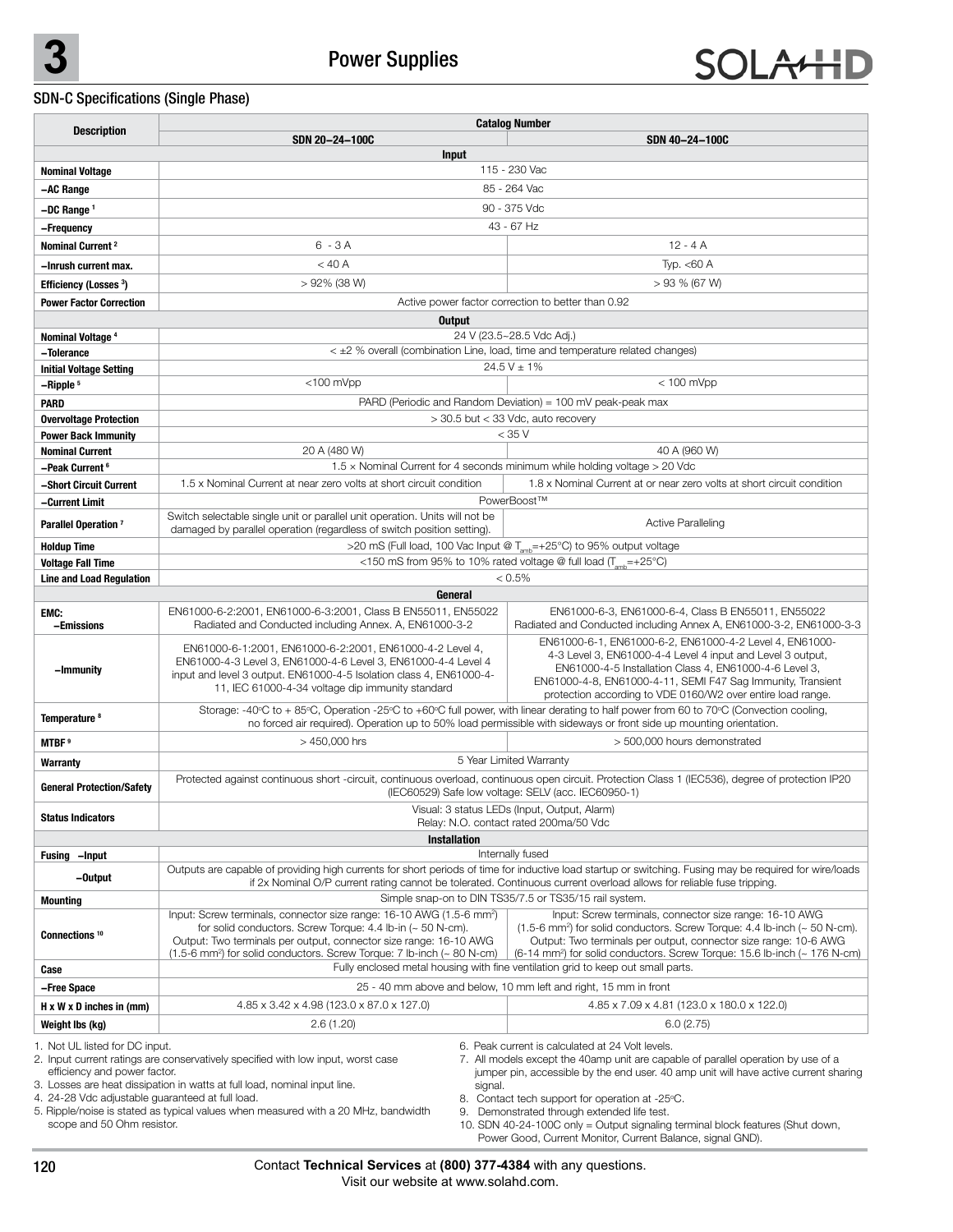

### SDN-C Specifications (Single Phase)

| <b>Description</b>                                                                                                                                                                                                                                                                                                                                                                                                                                                                                                                                                                                                                                                                                                                                                                                                                                                                                    | <b>Catalog Number</b>                                                                                                                                                                                                                                                                                     |                                                                                                                                                                                                                                                                                                                                  |  |  |  |  |
|-------------------------------------------------------------------------------------------------------------------------------------------------------------------------------------------------------------------------------------------------------------------------------------------------------------------------------------------------------------------------------------------------------------------------------------------------------------------------------------------------------------------------------------------------------------------------------------------------------------------------------------------------------------------------------------------------------------------------------------------------------------------------------------------------------------------------------------------------------------------------------------------------------|-----------------------------------------------------------------------------------------------------------------------------------------------------------------------------------------------------------------------------------------------------------------------------------------------------------|----------------------------------------------------------------------------------------------------------------------------------------------------------------------------------------------------------------------------------------------------------------------------------------------------------------------------------|--|--|--|--|
|                                                                                                                                                                                                                                                                                                                                                                                                                                                                                                                                                                                                                                                                                                                                                                                                                                                                                                       | SDN 20-24-100C                                                                                                                                                                                                                                                                                            | SDN 40-24-100C                                                                                                                                                                                                                                                                                                                   |  |  |  |  |
|                                                                                                                                                                                                                                                                                                                                                                                                                                                                                                                                                                                                                                                                                                                                                                                                                                                                                                       | <b>Input</b>                                                                                                                                                                                                                                                                                              |                                                                                                                                                                                                                                                                                                                                  |  |  |  |  |
| <b>Nominal Voltage</b>                                                                                                                                                                                                                                                                                                                                                                                                                                                                                                                                                                                                                                                                                                                                                                                                                                                                                | 115 - 230 Vac                                                                                                                                                                                                                                                                                             |                                                                                                                                                                                                                                                                                                                                  |  |  |  |  |
| -AC Range                                                                                                                                                                                                                                                                                                                                                                                                                                                                                                                                                                                                                                                                                                                                                                                                                                                                                             | 85 - 264 Vac                                                                                                                                                                                                                                                                                              |                                                                                                                                                                                                                                                                                                                                  |  |  |  |  |
| -DC Range <sup>1</sup>                                                                                                                                                                                                                                                                                                                                                                                                                                                                                                                                                                                                                                                                                                                                                                                                                                                                                |                                                                                                                                                                                                                                                                                                           | 90 - 375 Vdc                                                                                                                                                                                                                                                                                                                     |  |  |  |  |
| -Frequency                                                                                                                                                                                                                                                                                                                                                                                                                                                                                                                                                                                                                                                                                                                                                                                                                                                                                            |                                                                                                                                                                                                                                                                                                           | 43 - 67 Hz                                                                                                                                                                                                                                                                                                                       |  |  |  |  |
| Nominal Current <sup>2</sup>                                                                                                                                                                                                                                                                                                                                                                                                                                                                                                                                                                                                                                                                                                                                                                                                                                                                          | $6 - 3A$                                                                                                                                                                                                                                                                                                  | $12 - 4A$                                                                                                                                                                                                                                                                                                                        |  |  |  |  |
| -Inrush current max.                                                                                                                                                                                                                                                                                                                                                                                                                                                                                                                                                                                                                                                                                                                                                                                                                                                                                  | $<$ 40 A                                                                                                                                                                                                                                                                                                  | Typ. $<$ 60 A                                                                                                                                                                                                                                                                                                                    |  |  |  |  |
| Efficiency (Losses <sup>3</sup> )                                                                                                                                                                                                                                                                                                                                                                                                                                                                                                                                                                                                                                                                                                                                                                                                                                                                     | > 92% (38 W)                                                                                                                                                                                                                                                                                              | $>93$ % (67 W)                                                                                                                                                                                                                                                                                                                   |  |  |  |  |
| <b>Power Factor Correction</b>                                                                                                                                                                                                                                                                                                                                                                                                                                                                                                                                                                                                                                                                                                                                                                                                                                                                        |                                                                                                                                                                                                                                                                                                           | Active power factor correction to better than 0.92                                                                                                                                                                                                                                                                               |  |  |  |  |
|                                                                                                                                                                                                                                                                                                                                                                                                                                                                                                                                                                                                                                                                                                                                                                                                                                                                                                       | Output                                                                                                                                                                                                                                                                                                    |                                                                                                                                                                                                                                                                                                                                  |  |  |  |  |
| Nominal Voltage <sup>4</sup>                                                                                                                                                                                                                                                                                                                                                                                                                                                                                                                                                                                                                                                                                                                                                                                                                                                                          | 24 V (23.5~28.5 Vdc Adj.)                                                                                                                                                                                                                                                                                 |                                                                                                                                                                                                                                                                                                                                  |  |  |  |  |
| –Tolerance                                                                                                                                                                                                                                                                                                                                                                                                                                                                                                                                                                                                                                                                                                                                                                                                                                                                                            |                                                                                                                                                                                                                                                                                                           | $\leq$ $\pm$ 2 % overall (combination Line, load, time and temperature related changes)                                                                                                                                                                                                                                          |  |  |  |  |
| <b>Initial Voltage Setting</b>                                                                                                                                                                                                                                                                                                                                                                                                                                                                                                                                                                                                                                                                                                                                                                                                                                                                        |                                                                                                                                                                                                                                                                                                           | $24.5 V \pm 1\%$                                                                                                                                                                                                                                                                                                                 |  |  |  |  |
| -Ripple <sup>5</sup>                                                                                                                                                                                                                                                                                                                                                                                                                                                                                                                                                                                                                                                                                                                                                                                                                                                                                  | <100 mVpp                                                                                                                                                                                                                                                                                                 | $< 100$ mVpp                                                                                                                                                                                                                                                                                                                     |  |  |  |  |
| <b>PARD</b>                                                                                                                                                                                                                                                                                                                                                                                                                                                                                                                                                                                                                                                                                                                                                                                                                                                                                           |                                                                                                                                                                                                                                                                                                           | PARD (Periodic and Random Deviation) = 100 mV peak-peak max                                                                                                                                                                                                                                                                      |  |  |  |  |
| <b>Overvoltage Protection</b>                                                                                                                                                                                                                                                                                                                                                                                                                                                                                                                                                                                                                                                                                                                                                                                                                                                                         |                                                                                                                                                                                                                                                                                                           | > 30.5 but < 33 Vdc, auto recovery<br>$<$ 35 V                                                                                                                                                                                                                                                                                   |  |  |  |  |
| <b>Power Back Immunity</b><br><b>Nominal Current</b>                                                                                                                                                                                                                                                                                                                                                                                                                                                                                                                                                                                                                                                                                                                                                                                                                                                  | 20 A (480 W)                                                                                                                                                                                                                                                                                              | 40 A (960 W)                                                                                                                                                                                                                                                                                                                     |  |  |  |  |
| -Peak Current <sup>6</sup>                                                                                                                                                                                                                                                                                                                                                                                                                                                                                                                                                                                                                                                                                                                                                                                                                                                                            |                                                                                                                                                                                                                                                                                                           | $1.5 \times$ Nominal Current for 4 seconds minimum while holding voltage $>$ 20 Vdc                                                                                                                                                                                                                                              |  |  |  |  |
| -Short Circuit Current                                                                                                                                                                                                                                                                                                                                                                                                                                                                                                                                                                                                                                                                                                                                                                                                                                                                                | 1.5 x Nominal Current at near zero volts at short circuit condition                                                                                                                                                                                                                                       | 1.8 x Nominal Current at or near zero volts at short circuit condition                                                                                                                                                                                                                                                           |  |  |  |  |
| -Current Limit                                                                                                                                                                                                                                                                                                                                                                                                                                                                                                                                                                                                                                                                                                                                                                                                                                                                                        |                                                                                                                                                                                                                                                                                                           | PowerBoost™                                                                                                                                                                                                                                                                                                                      |  |  |  |  |
|                                                                                                                                                                                                                                                                                                                                                                                                                                                                                                                                                                                                                                                                                                                                                                                                                                                                                                       | Switch selectable single unit or parallel unit operation. Units will not be                                                                                                                                                                                                                               |                                                                                                                                                                                                                                                                                                                                  |  |  |  |  |
| Parallel Operation <sup>7</sup>                                                                                                                                                                                                                                                                                                                                                                                                                                                                                                                                                                                                                                                                                                                                                                                                                                                                       | damaged by parallel operation (regardless of switch position setting).                                                                                                                                                                                                                                    | <b>Active Paralleling</b>                                                                                                                                                                                                                                                                                                        |  |  |  |  |
| <b>Holdup Time</b>                                                                                                                                                                                                                                                                                                                                                                                                                                                                                                                                                                                                                                                                                                                                                                                                                                                                                    |                                                                                                                                                                                                                                                                                                           | >20 mS (Full load, 100 Vac Input @ T <sub>amb</sub> =+25°C) to 95% output voltage                                                                                                                                                                                                                                                |  |  |  |  |
| <b>Voltage Fall Time</b>                                                                                                                                                                                                                                                                                                                                                                                                                                                                                                                                                                                                                                                                                                                                                                                                                                                                              |                                                                                                                                                                                                                                                                                                           | <150 mS from 95% to 10% rated voltage @ full load (T <sub>amb</sub> =+25°C)<br>< 0.5%                                                                                                                                                                                                                                            |  |  |  |  |
| <b>Line and Load Regulation</b>                                                                                                                                                                                                                                                                                                                                                                                                                                                                                                                                                                                                                                                                                                                                                                                                                                                                       | General                                                                                                                                                                                                                                                                                                   |                                                                                                                                                                                                                                                                                                                                  |  |  |  |  |
| EMC:                                                                                                                                                                                                                                                                                                                                                                                                                                                                                                                                                                                                                                                                                                                                                                                                                                                                                                  | EN61000-6-2:2001, EN61000-6-3:2001, Class B EN55011, EN55022                                                                                                                                                                                                                                              | EN61000-6-3, EN61000-6-4, Class B EN55011, EN55022                                                                                                                                                                                                                                                                               |  |  |  |  |
| -Emissions                                                                                                                                                                                                                                                                                                                                                                                                                                                                                                                                                                                                                                                                                                                                                                                                                                                                                            | Radiated and Conducted including Annex. A, EN61000-3-2                                                                                                                                                                                                                                                    | Radiated and Conducted including Annex A, EN61000-3-2, EN61000-3-3                                                                                                                                                                                                                                                               |  |  |  |  |
| -Immunity                                                                                                                                                                                                                                                                                                                                                                                                                                                                                                                                                                                                                                                                                                                                                                                                                                                                                             | EN61000-6-1:2001, EN61000-6-2:2001, EN61000-4-2 Level 4,<br>EN61000-4-3 Level 3, EN61000-4-6 Level 3, EN61000-4-4 Level 4<br>input and level 3 output. EN61000-4-5 Isolation class 4, EN61000-4-<br>11, IEC 61000-4-34 voltage dip immunity standard                                                      | EN61000-6-1, EN61000-6-2, EN61000-4-2 Level 4, EN61000-<br>4-3 Level 3, EN61000-4-4 Level 4 input and Level 3 output,<br>EN61000-4-5 Installation Class 4, EN61000-4-6 Level 3,<br>EN61000-4-8, EN61000-4-11, SEMI F47 Sag Immunity, Transient<br>protection according to VDE 0160/W2 over entire load range.                    |  |  |  |  |
| Temperature <sup>8</sup>                                                                                                                                                                                                                                                                                                                                                                                                                                                                                                                                                                                                                                                                                                                                                                                                                                                                              |                                                                                                                                                                                                                                                                                                           | Storage: -40°C to +85°C, Operation -25°C to +60°C full power, with linear derating to half power from 60 to 70°C (Convection cooling,<br>no forced air required). Operation up to 50% load permissible with sideways or front side up mounting orientation.                                                                      |  |  |  |  |
| MTBF <sup>9</sup>                                                                                                                                                                                                                                                                                                                                                                                                                                                                                                                                                                                                                                                                                                                                                                                                                                                                                     | > 450,000 hrs                                                                                                                                                                                                                                                                                             | > 500,000 hours demonstrated                                                                                                                                                                                                                                                                                                     |  |  |  |  |
| Warranty                                                                                                                                                                                                                                                                                                                                                                                                                                                                                                                                                                                                                                                                                                                                                                                                                                                                                              | 5 Year Limited Warranty                                                                                                                                                                                                                                                                                   |                                                                                                                                                                                                                                                                                                                                  |  |  |  |  |
| <b>General Protection/Safety</b>                                                                                                                                                                                                                                                                                                                                                                                                                                                                                                                                                                                                                                                                                                                                                                                                                                                                      | Protected against continuous short -circuit, continuous overload, continuous open circuit. Protection Class 1 (IEC536), degree of protection IP20<br>(IEC60529) Safe low voltage: SELV (acc. IEC60950-1)                                                                                                  |                                                                                                                                                                                                                                                                                                                                  |  |  |  |  |
| <b>Status Indicators</b>                                                                                                                                                                                                                                                                                                                                                                                                                                                                                                                                                                                                                                                                                                                                                                                                                                                                              |                                                                                                                                                                                                                                                                                                           | Visual: 3 status LEDs (Input, Output, Alarm)<br>Relay: N.O. contact rated 200ma/50 Vdc                                                                                                                                                                                                                                           |  |  |  |  |
|                                                                                                                                                                                                                                                                                                                                                                                                                                                                                                                                                                                                                                                                                                                                                                                                                                                                                                       | <b>Installation</b>                                                                                                                                                                                                                                                                                       |                                                                                                                                                                                                                                                                                                                                  |  |  |  |  |
| Fusing -Input                                                                                                                                                                                                                                                                                                                                                                                                                                                                                                                                                                                                                                                                                                                                                                                                                                                                                         |                                                                                                                                                                                                                                                                                                           | Internally fused                                                                                                                                                                                                                                                                                                                 |  |  |  |  |
| -Output                                                                                                                                                                                                                                                                                                                                                                                                                                                                                                                                                                                                                                                                                                                                                                                                                                                                                               | Outputs are capable of providing high currents for short periods of time for inductive load startup or switching. Fusing may be required for wire/loads<br>if 2x Nominal O/P current rating cannot be tolerated. Continuous current overload allows for reliable fuse tripping.                           |                                                                                                                                                                                                                                                                                                                                  |  |  |  |  |
| Mounting                                                                                                                                                                                                                                                                                                                                                                                                                                                                                                                                                                                                                                                                                                                                                                                                                                                                                              | Simple snap-on to DIN TS35/7.5 or TS35/15 rail system.                                                                                                                                                                                                                                                    |                                                                                                                                                                                                                                                                                                                                  |  |  |  |  |
| Connections <sup>10</sup>                                                                                                                                                                                                                                                                                                                                                                                                                                                                                                                                                                                                                                                                                                                                                                                                                                                                             | Input: Screw terminals, connector size range: 16-10 AWG (1.5-6 mm <sup>2</sup> )<br>for solid conductors. Screw Torque: 4.4 lb-in (~ 50 N-cm).<br>Output: Two terminals per output, connector size range: 16-10 AWG<br>(1.5-6 mm <sup>2</sup> ) for solid conductors. Screw Torque: 7 lb-inch (~ 80 N-cm) | Input: Screw terminals, connector size range: 16-10 AWG<br>$(1.5-6$ mm <sup>2</sup> ) for solid conductors. Screw Torque: 4.4 lb-inch $\sim$ 50 N-cm).<br>Output: Two terminals per output, connector size range: 10-6 AWG<br>$(6-14 \text{ mm}^2)$ for solid conductors. Screw Torque: 15.6 lb-inch ( $\sim 176 \text{ N-cm}$ ) |  |  |  |  |
| Case                                                                                                                                                                                                                                                                                                                                                                                                                                                                                                                                                                                                                                                                                                                                                                                                                                                                                                  | Fully enclosed metal housing with fine ventilation grid to keep out small parts.                                                                                                                                                                                                                          |                                                                                                                                                                                                                                                                                                                                  |  |  |  |  |
| -Free Space                                                                                                                                                                                                                                                                                                                                                                                                                                                                                                                                                                                                                                                                                                                                                                                                                                                                                           | 25 - 40 mm above and below, 10 mm left and right, 15 mm in front                                                                                                                                                                                                                                          |                                                                                                                                                                                                                                                                                                                                  |  |  |  |  |
| $H \times W \times D$ inches in (mm)                                                                                                                                                                                                                                                                                                                                                                                                                                                                                                                                                                                                                                                                                                                                                                                                                                                                  | 4.85 x 3.42 x 4.98 (123.0 x 87.0 x 127.0)                                                                                                                                                                                                                                                                 | 4.85 x 7.09 x 4.81 (123.0 x 180.0 x 122.0)                                                                                                                                                                                                                                                                                       |  |  |  |  |
| Weight Ibs (kg)                                                                                                                                                                                                                                                                                                                                                                                                                                                                                                                                                                                                                                                                                                                                                                                                                                                                                       | 2.6(1.20)                                                                                                                                                                                                                                                                                                 | 6.0(2.75)                                                                                                                                                                                                                                                                                                                        |  |  |  |  |
| 1. Not UL listed for DC input.<br>6. Peak current is calculated at 24 Volt levels.<br>2. Input current ratings are conservatively specified with low input, worst case<br>7. All models except the 40amp unit are capable of parallel operation by use of a<br>efficiency and power factor.<br>jumper pin, accessible by the end user. 40 amp unit will have active current sharing<br>3. Losses are heat dissipation in watts at full load, nominal input line.<br>signal.<br>4. 24-28 Vdc adjustable guaranteed at full load.<br>8. Contact tech support for operation at -25°C.<br>5. Ripple/noise is stated as typical values when measured with a 20 MHz, bandwidth<br>9. Demonstrated through extended life test.<br>scope and 50 Ohm resistor.<br>10. SDN 40-24-100C only = Output signaling terminal block features (Shut down,<br>Power Good, Current Monitor, Current Balance, signal GND). |                                                                                                                                                                                                                                                                                                           |                                                                                                                                                                                                                                                                                                                                  |  |  |  |  |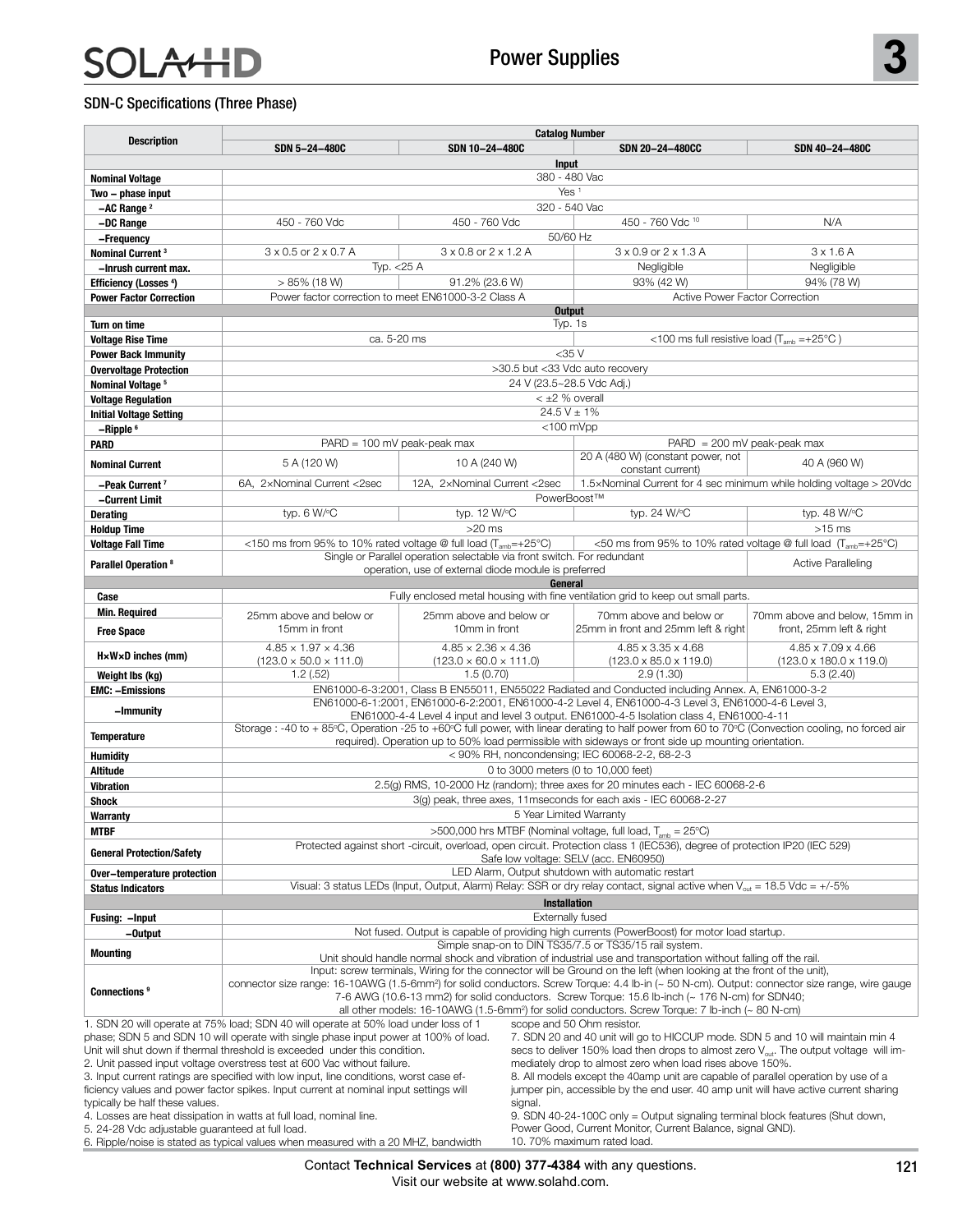## **AHD** S

#### SDN-C Specifications (Three Phase)

| <b>Description</b>                                                                                                                                                                                        | <b>Catalog Number</b>                                                                                                                                                                                                                    |                                                                                                                                 |                                                                                                                                                                                                         |                                                                            |  |  |  |
|-----------------------------------------------------------------------------------------------------------------------------------------------------------------------------------------------------------|------------------------------------------------------------------------------------------------------------------------------------------------------------------------------------------------------------------------------------------|---------------------------------------------------------------------------------------------------------------------------------|---------------------------------------------------------------------------------------------------------------------------------------------------------------------------------------------------------|----------------------------------------------------------------------------|--|--|--|
|                                                                                                                                                                                                           | SDN 5-24-480C                                                                                                                                                                                                                            | SDN 10-24-480C                                                                                                                  | SDN 20-24-480CC                                                                                                                                                                                         | SDN 40-24-480C                                                             |  |  |  |
|                                                                                                                                                                                                           |                                                                                                                                                                                                                                          |                                                                                                                                 | Input                                                                                                                                                                                                   |                                                                            |  |  |  |
| <b>Nominal Voltage</b>                                                                                                                                                                                    | 380 - 480 Vac<br>Yes <sup>1</sup>                                                                                                                                                                                                        |                                                                                                                                 |                                                                                                                                                                                                         |                                                                            |  |  |  |
| Two - phase input<br>$-AC$ Range $2$                                                                                                                                                                      |                                                                                                                                                                                                                                          |                                                                                                                                 | 320 - 540 Vac                                                                                                                                                                                           |                                                                            |  |  |  |
| -DC Range                                                                                                                                                                                                 | 450 - 760 Vdc                                                                                                                                                                                                                            | 450 - 760 Vdc                                                                                                                   | 450 - 760 Vdc 10                                                                                                                                                                                        | N/A                                                                        |  |  |  |
| -Frequency                                                                                                                                                                                                |                                                                                                                                                                                                                                          |                                                                                                                                 | 50/60 Hz                                                                                                                                                                                                |                                                                            |  |  |  |
| Nominal Current <sup>3</sup>                                                                                                                                                                              | 3 x 0.5 or 2 x 0.7 A                                                                                                                                                                                                                     | 3 x 0.8 or 2 x 1.2 A                                                                                                            | $3 \times 0.9$ or $2 \times 1.3$ A                                                                                                                                                                      | $3 \times 1.6$ A                                                           |  |  |  |
| -Inrush current max.                                                                                                                                                                                      | Typ. $<$ 25 A                                                                                                                                                                                                                            |                                                                                                                                 | Negligible                                                                                                                                                                                              | Negligible                                                                 |  |  |  |
| <b>Efficiency (Losses 4)</b>                                                                                                                                                                              | $> 85\%$ (18 W)                                                                                                                                                                                                                          | 91.2% (23.6 W)                                                                                                                  | 93% (42 W)                                                                                                                                                                                              | 94% (78 W)                                                                 |  |  |  |
| <b>Power Factor Correction</b>                                                                                                                                                                            | Power factor correction to meet EN61000-3-2 Class A                                                                                                                                                                                      |                                                                                                                                 |                                                                                                                                                                                                         | Active Power Factor Correction                                             |  |  |  |
|                                                                                                                                                                                                           |                                                                                                                                                                                                                                          |                                                                                                                                 | <b>Output</b>                                                                                                                                                                                           |                                                                            |  |  |  |
| Turn on time<br><b>Voltage Rise Time</b>                                                                                                                                                                  | ca. 5-20 ms                                                                                                                                                                                                                              |                                                                                                                                 | Typ. 1s<br><100 ms full resistive load $(T_{amb} = +25^{\circ}C)$                                                                                                                                       |                                                                            |  |  |  |
| <b>Power Back Immunity</b>                                                                                                                                                                                |                                                                                                                                                                                                                                          | $<$ 35 $V$                                                                                                                      |                                                                                                                                                                                                         |                                                                            |  |  |  |
| <b>Overvoltage Protection</b>                                                                                                                                                                             |                                                                                                                                                                                                                                          | >30.5 but <33 Vdc auto recovery                                                                                                 |                                                                                                                                                                                                         |                                                                            |  |  |  |
| Nominal Voltage <sup>5</sup>                                                                                                                                                                              |                                                                                                                                                                                                                                          | 24 V (23.5~28.5 Vdc Adj.)                                                                                                       |                                                                                                                                                                                                         |                                                                            |  |  |  |
| <b>Voltage Regulation</b>                                                                                                                                                                                 |                                                                                                                                                                                                                                          |                                                                                                                                 | $<$ $\pm$ 2 % overall                                                                                                                                                                                   |                                                                            |  |  |  |
| <b>Initial Voltage Setting</b>                                                                                                                                                                            |                                                                                                                                                                                                                                          |                                                                                                                                 | $24.5 V \pm 1\%$                                                                                                                                                                                        |                                                                            |  |  |  |
| $-Ripple6$                                                                                                                                                                                                |                                                                                                                                                                                                                                          |                                                                                                                                 | $<$ 100 mVpp                                                                                                                                                                                            |                                                                            |  |  |  |
| PARD                                                                                                                                                                                                      | $PARD = 100$ mV peak-peak max                                                                                                                                                                                                            |                                                                                                                                 | 20 A (480 W) (constant power, not                                                                                                                                                                       | $PARD = 200$ mV peak-peak max                                              |  |  |  |
| <b>Nominal Current</b>                                                                                                                                                                                    | 5 A (120 W)                                                                                                                                                                                                                              | 10 A (240 W)                                                                                                                    | constant current)                                                                                                                                                                                       | 40 A (960 W)                                                               |  |  |  |
| -Peak Current <sup>7</sup>                                                                                                                                                                                | 6A, 2xNominal Current <2sec                                                                                                                                                                                                              | 12A, 2xNominal Current <2sec                                                                                                    |                                                                                                                                                                                                         | 1.5xNominal Current for 4 sec minimum while holding voltage > 20Vdc        |  |  |  |
| -Current Limit                                                                                                                                                                                            |                                                                                                                                                                                                                                          |                                                                                                                                 | PowerBoost™                                                                                                                                                                                             |                                                                            |  |  |  |
| <b>Derating</b>                                                                                                                                                                                           | typ. 6 W/°C                                                                                                                                                                                                                              | typ. 12 W/°C                                                                                                                    | typ. 24 W/°C                                                                                                                                                                                            | typ. 48 W/°C                                                               |  |  |  |
| <b>Holdup Time</b>                                                                                                                                                                                        |                                                                                                                                                                                                                                          | $>20$ ms                                                                                                                        |                                                                                                                                                                                                         | $>15$ ms                                                                   |  |  |  |
| <b>Voltage Fall Time</b>                                                                                                                                                                                  | <150 ms from 95% to 10% rated voltage @ full load (T <sub>amb</sub> =+25°C)                                                                                                                                                              |                                                                                                                                 |                                                                                                                                                                                                         | <50 ms from 95% to 10% rated voltage @ full load (T <sub>amb</sub> =+25°C) |  |  |  |
| Parallel Operation <sup>8</sup>                                                                                                                                                                           |                                                                                                                                                                                                                                          | Single or Parallel operation selectable via front switch. For redundant<br>operation, use of external diode module is preferred |                                                                                                                                                                                                         | <b>Active Paralleling</b>                                                  |  |  |  |
|                                                                                                                                                                                                           |                                                                                                                                                                                                                                          | General                                                                                                                         |                                                                                                                                                                                                         |                                                                            |  |  |  |
| Case                                                                                                                                                                                                      |                                                                                                                                                                                                                                          |                                                                                                                                 | Fully enclosed metal housing with fine ventilation grid to keep out small parts.                                                                                                                        |                                                                            |  |  |  |
| <b>Min. Required</b>                                                                                                                                                                                      | 25mm above and below or                                                                                                                                                                                                                  | 25mm above and below or                                                                                                         | 70mm above and below or                                                                                                                                                                                 | 70mm above and below, 15mm in                                              |  |  |  |
| <b>Free Space</b>                                                                                                                                                                                         | 15mm in front                                                                                                                                                                                                                            | 10mm in front                                                                                                                   | 25mm in front and 25mm left & right                                                                                                                                                                     | front, 25mm left & right                                                   |  |  |  |
|                                                                                                                                                                                                           | $4.85 \times 1.97 \times 4.36$                                                                                                                                                                                                           | $4.85 \times 2.36 \times 4.36$                                                                                                  | 4.85 x 3.35 x 4.68                                                                                                                                                                                      | 4.85 x 7.09 x 4.66                                                         |  |  |  |
| $H \times W \times D$ inches (mm)                                                                                                                                                                         | $(123.0 \times 50.0 \times 111.0)$                                                                                                                                                                                                       | $(123.0 \times 60.0 \times 111.0)$                                                                                              | $(123.0 \times 85.0 \times 119.0)$                                                                                                                                                                      | $(123.0 \times 180.0 \times 119.0)$                                        |  |  |  |
| Weight Ibs (kg)                                                                                                                                                                                           | 1.2(.52)                                                                                                                                                                                                                                 | 1.5(0.70)                                                                                                                       | 2.9(1.30)                                                                                                                                                                                               | 5.3(2.40)                                                                  |  |  |  |
| <b>EMC: -Emissions</b>                                                                                                                                                                                    |                                                                                                                                                                                                                                          |                                                                                                                                 | EN61000-6-3:2001, Class B EN55011, EN55022 Radiated and Conducted including Annex. A, EN61000-3-2<br>EN61000-6-1:2001, EN61000-6-2:2001, EN61000-4-2 Level 4, EN61000-4-3 Level 3, EN61000-4-6 Level 3, |                                                                            |  |  |  |
| -Immunity                                                                                                                                                                                                 |                                                                                                                                                                                                                                          |                                                                                                                                 | EN61000-4-4 Level 4 input and level 3 output. EN61000-4-5 Isolation class 4, EN61000-4-11                                                                                                               |                                                                            |  |  |  |
| <b>Temperature</b>                                                                                                                                                                                        |                                                                                                                                                                                                                                          |                                                                                                                                 | Storage: -40 to +85°C, Operation -25 to +60°C full power, with linear derating to half power from 60 to 70°C (Convection cooling, no forced air                                                         |                                                                            |  |  |  |
|                                                                                                                                                                                                           |                                                                                                                                                                                                                                          |                                                                                                                                 | required). Operation up to 50% load permissible with sideways or front side up mounting orientation.<br>< 90% RH, noncondensing; IEC 60068-2-2, 68-2-3                                                  |                                                                            |  |  |  |
| <b>Humidity</b><br>Altitude                                                                                                                                                                               |                                                                                                                                                                                                                                          |                                                                                                                                 | 0 to 3000 meters (0 to 10,000 feet)                                                                                                                                                                     |                                                                            |  |  |  |
| <b>Vibration</b>                                                                                                                                                                                          |                                                                                                                                                                                                                                          |                                                                                                                                 | 2.5(g) RMS, 10-2000 Hz (random); three axes for 20 minutes each - IEC 60068-2-6                                                                                                                         |                                                                            |  |  |  |
| <b>Shock</b>                                                                                                                                                                                              | 3(g) peak, three axes, 11 mseconds for each axis - IEC 60068-2-27                                                                                                                                                                        |                                                                                                                                 |                                                                                                                                                                                                         |                                                                            |  |  |  |
| Warranty                                                                                                                                                                                                  | 5 Year Limited Warranty                                                                                                                                                                                                                  |                                                                                                                                 |                                                                                                                                                                                                         |                                                                            |  |  |  |
| <b>MTBF</b>                                                                                                                                                                                               | >500,000 hrs MTBF (Nominal voltage, full load, $T_{amb} = 25^{\circ}C$ )                                                                                                                                                                 |                                                                                                                                 |                                                                                                                                                                                                         |                                                                            |  |  |  |
| <b>General Protection/Safety</b>                                                                                                                                                                          | Protected against short -circuit, overload, open circuit. Protection class 1 (IEC536), degree of protection IP20 (IEC 529)                                                                                                               |                                                                                                                                 |                                                                                                                                                                                                         |                                                                            |  |  |  |
|                                                                                                                                                                                                           | Safe low voltage: SELV (acc. EN60950)<br>LED Alarm, Output shutdown with automatic restart                                                                                                                                               |                                                                                                                                 |                                                                                                                                                                                                         |                                                                            |  |  |  |
| Over-temperature protection                                                                                                                                                                               | Visual: 3 status LEDs (Input, Output, Alarm) Relay: SSR or dry relay contact, signal active when $V_{\text{out}} = 18.5 \text{ Vdc} = +/-5\%$                                                                                            |                                                                                                                                 |                                                                                                                                                                                                         |                                                                            |  |  |  |
| <b>Status Indicators</b><br><b>Installation</b>                                                                                                                                                           |                                                                                                                                                                                                                                          |                                                                                                                                 |                                                                                                                                                                                                         |                                                                            |  |  |  |
| Fusing: - Input                                                                                                                                                                                           |                                                                                                                                                                                                                                          |                                                                                                                                 | <b>Externally fused</b>                                                                                                                                                                                 |                                                                            |  |  |  |
| -Output                                                                                                                                                                                                   |                                                                                                                                                                                                                                          | Not fused. Output is capable of providing high currents (PowerBoost) for motor load startup.                                    |                                                                                                                                                                                                         |                                                                            |  |  |  |
| <b>Mounting</b>                                                                                                                                                                                           | Simple snap-on to DIN TS35/7.5 or TS35/15 rail system.                                                                                                                                                                                   |                                                                                                                                 |                                                                                                                                                                                                         |                                                                            |  |  |  |
|                                                                                                                                                                                                           | Unit should handle normal shock and vibration of industrial use and transportation without falling off the rail.<br>Input: screw terminals, Wiring for the connector will be Ground on the left (when looking at the front of the unit), |                                                                                                                                 |                                                                                                                                                                                                         |                                                                            |  |  |  |
|                                                                                                                                                                                                           | connector size range: 16-10AWG (1.5-6mm <sup>2</sup> ) for solid conductors. Screw Torque: 4.4 lb-in (~ 50 N-cm). Output: connector size range, wire gauge                                                                               |                                                                                                                                 |                                                                                                                                                                                                         |                                                                            |  |  |  |
| Connections <sup>9</sup>                                                                                                                                                                                  | 7-6 AWG (10.6-13 mm2) for solid conductors. Screw Torque: 15.6 lb-inch (~ 176 N-cm) for SDN40;                                                                                                                                           |                                                                                                                                 |                                                                                                                                                                                                         |                                                                            |  |  |  |
| all other models: 16-10AWG (1.5-6mm <sup>2</sup> ) for solid conductors. Screw Torque: 7 lb-inch ( $\sim$ 80 N-cm)<br>1. SDN 20 will operate at 75% load; SDN 40 will operate at 50% load under loss of 1 |                                                                                                                                                                                                                                          |                                                                                                                                 |                                                                                                                                                                                                         |                                                                            |  |  |  |
|                                                                                                                                                                                                           | phase; SDN 5 and SDN 10 will operate with single phase input power at 100% of load.                                                                                                                                                      |                                                                                                                                 | scope and 50 Ohm resistor.<br>7. SDN 20 and 40 unit will go to HICCUP mode. SDN 5 and 10 will maintain min 4                                                                                            |                                                                            |  |  |  |
|                                                                                                                                                                                                           | Unit will shut down if thermal threshold is exceeded under this condition.                                                                                                                                                               |                                                                                                                                 | secs to deliver 150% load then drops to almost zero $V_{out}$ . The output voltage will im-                                                                                                             |                                                                            |  |  |  |
|                                                                                                                                                                                                           | 2. Unit passed input voltage overstress test at 600 Vac without failure.                                                                                                                                                                 |                                                                                                                                 | mediately drop to almost zero when load rises above 150%.                                                                                                                                               |                                                                            |  |  |  |
|                                                                                                                                                                                                           | 3. Input current ratings are specified with low input, line conditions, worst case ef-                                                                                                                                                   |                                                                                                                                 | 8. All models except the 40amp unit are capable of parallel operation by use of a                                                                                                                       |                                                                            |  |  |  |
| typically be half these values.                                                                                                                                                                           | ficiency values and power factor spikes. Input current at nominal input settings will                                                                                                                                                    | signal.                                                                                                                         | jumper pin, accessible by the end user. 40 amp unit will have active current sharing                                                                                                                    |                                                                            |  |  |  |
|                                                                                                                                                                                                           | 4. Losses are heat dissipation in watts at full load, nominal line.                                                                                                                                                                      |                                                                                                                                 | 9. SDN 40-24-100C only = Output signaling terminal block features (Shut down,                                                                                                                           |                                                                            |  |  |  |
| 5. 24-28 Vdc adjustable guaranteed at full load.                                                                                                                                                          |                                                                                                                                                                                                                                          |                                                                                                                                 | Power Good, Current Monitor, Current Balance, signal GND).                                                                                                                                              |                                                                            |  |  |  |
| 6. Ripple/noise is stated as typical values when measured with a 20 MHZ, bandwidth                                                                                                                        |                                                                                                                                                                                                                                          |                                                                                                                                 | 10.70% maximum rated load.                                                                                                                                                                              |                                                                            |  |  |  |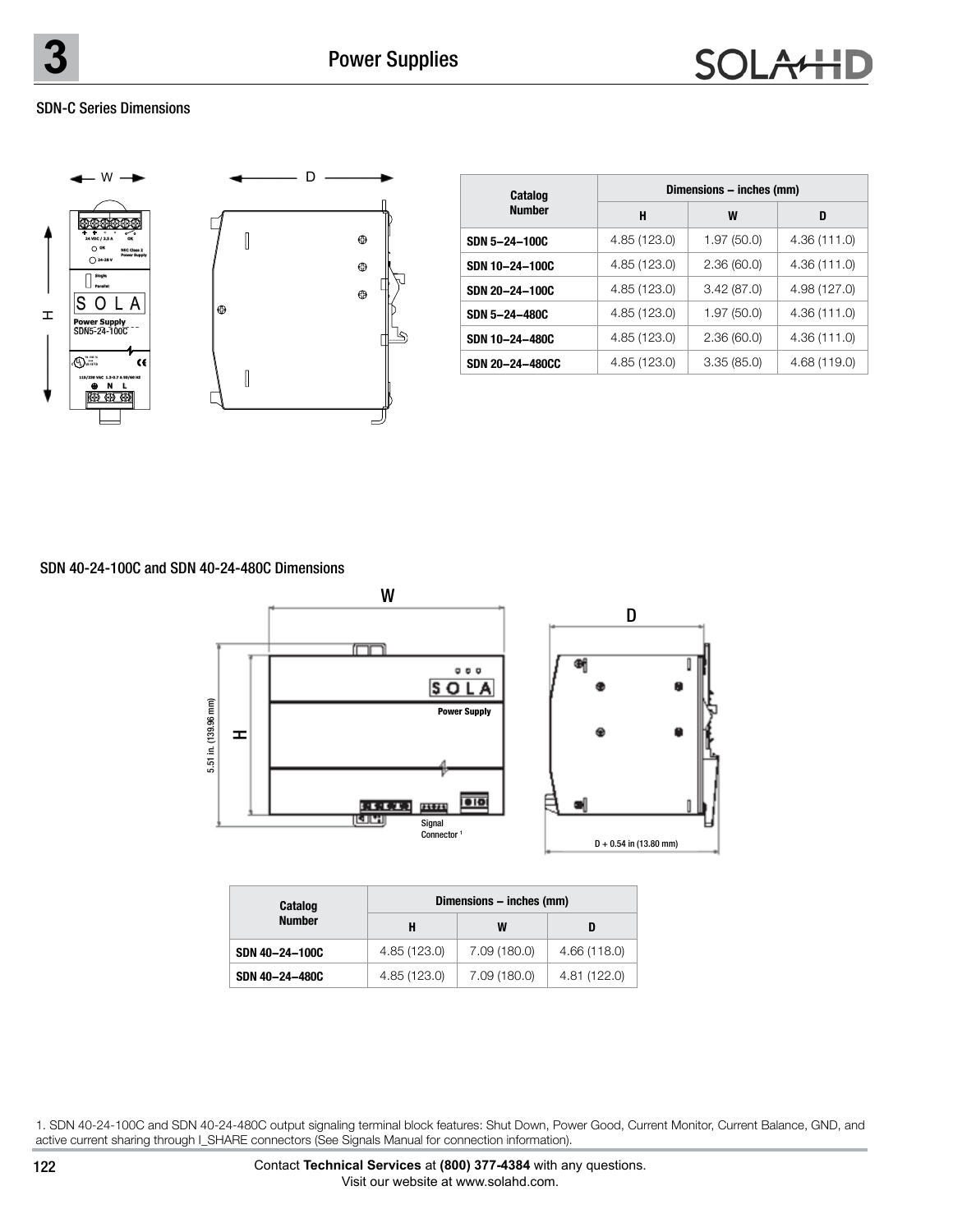#### SDN-C Series Dimensions



| Catalog         | Dimensions - inches (mm) |            |              |  |
|-----------------|--------------------------|------------|--------------|--|
| <b>Number</b>   | н                        | W          | D            |  |
| SDN 5-24-100C   | 4.85 (123.0)             | 1.97(50.0) | 4.36 (111.0) |  |
| SDN 10-24-100C  | 4.85 (123.0)             | 2.36(60.0) | 4.36 (111.0) |  |
| SDN 20-24-100C  | 4.85 (123.0)             | 3.42(87.0) | 4.98 (127.0) |  |
| SDN 5-24-480C   | 4.85 (123.0)             | 1.97(50.0) | 4.36(111.0)  |  |
| SDN 10-24-480C  | 4.85 (123.0)             | 2.36(60.0) | 4.36 (111.0) |  |
| SDN 20-24-480CC | 4.85 (123.0)             | 3.35(85.0) | 4.68 (119.0) |  |

#### SDN 40-24-100C and SDN 40-24-480C Dimensions



| Catalog        | Dimensions - inches (mm) |              |              |  |  |
|----------------|--------------------------|--------------|--------------|--|--|
| <b>Number</b>  | H                        | W            |              |  |  |
| SDN 40-24-100C | 4.85 (123.0)             | 7.09 (180.0) | 4.66 (118.0) |  |  |
| SDN 40-24-480C | 4.85 (123.0)             | 7.09 (180.0) | 4.81 (122.0) |  |  |

1. SDN 40-24-100C and SDN 40-24-480C output signaling terminal block features: Shut Down, Power Good, Current Monitor, Current Balance, GND, and active current sharing through I\_SHARE connectors (See Signals Manual for connection information).